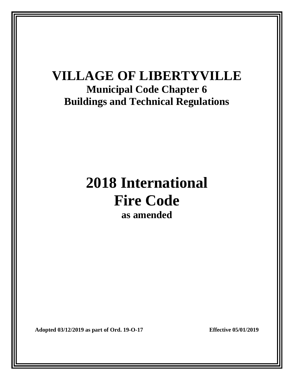## **VILLAGE OF LIBERTYVILLE Municipal Code Chapter 6 Buildings and Technical Regulations**

# **2018 International Fire Code as amended**

**Adopted 03/12/2019 as part of Ord. 19-O-17 Effective 05/01/2019**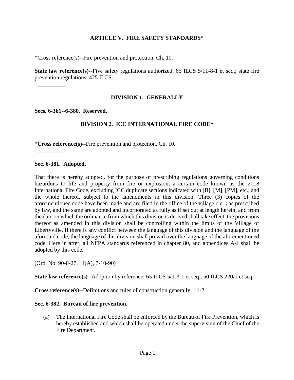#### **ARTICLE V. FIRE SAFETY STANDARDS\***

\*Cross reference(s)--Fire prevention and protection, Ch. 10.

**State law reference(s)**--Five safety regulations authorized, 65 ILCS 5/11-8-1 et seq.; state fire prevention regulations, 425 ILCS.

#### **DIVISION 1. GENERALLY**

**Secs. 6-361--6-380. Reserved.**

 $\overline{\phantom{a}}$  ,  $\overline{\phantom{a}}$  ,  $\overline{\phantom{a}}$  ,  $\overline{\phantom{a}}$  ,  $\overline{\phantom{a}}$  ,  $\overline{\phantom{a}}$  ,  $\overline{\phantom{a}}$  ,  $\overline{\phantom{a}}$  ,  $\overline{\phantom{a}}$  ,  $\overline{\phantom{a}}$  ,  $\overline{\phantom{a}}$  ,  $\overline{\phantom{a}}$  ,  $\overline{\phantom{a}}$  ,  $\overline{\phantom{a}}$  ,  $\overline{\phantom{a}}$  ,  $\overline{\phantom{a}}$ 

 $\overline{\phantom{a}}$  ,  $\overline{\phantom{a}}$  ,  $\overline{\phantom{a}}$  ,  $\overline{\phantom{a}}$  ,  $\overline{\phantom{a}}$  ,  $\overline{\phantom{a}}$  ,  $\overline{\phantom{a}}$  ,  $\overline{\phantom{a}}$  ,  $\overline{\phantom{a}}$  ,  $\overline{\phantom{a}}$  ,  $\overline{\phantom{a}}$  ,  $\overline{\phantom{a}}$  ,  $\overline{\phantom{a}}$  ,  $\overline{\phantom{a}}$  ,  $\overline{\phantom{a}}$  ,  $\overline{\phantom{a}}$ 

 $\overline{\phantom{a}}$  ,  $\overline{\phantom{a}}$  ,  $\overline{\phantom{a}}$  ,  $\overline{\phantom{a}}$  ,  $\overline{\phantom{a}}$  ,  $\overline{\phantom{a}}$  ,  $\overline{\phantom{a}}$  ,  $\overline{\phantom{a}}$  ,  $\overline{\phantom{a}}$  ,  $\overline{\phantom{a}}$  ,  $\overline{\phantom{a}}$  ,  $\overline{\phantom{a}}$  ,  $\overline{\phantom{a}}$  ,  $\overline{\phantom{a}}$  ,  $\overline{\phantom{a}}$  ,  $\overline{\phantom{a}}$ 

 $\overline{\phantom{a}}$  ,  $\overline{\phantom{a}}$  ,  $\overline{\phantom{a}}$  ,  $\overline{\phantom{a}}$  ,  $\overline{\phantom{a}}$  ,  $\overline{\phantom{a}}$  ,  $\overline{\phantom{a}}$  ,  $\overline{\phantom{a}}$  ,  $\overline{\phantom{a}}$  ,  $\overline{\phantom{a}}$  ,  $\overline{\phantom{a}}$  ,  $\overline{\phantom{a}}$  ,  $\overline{\phantom{a}}$  ,  $\overline{\phantom{a}}$  ,  $\overline{\phantom{a}}$  ,  $\overline{\phantom{a}}$ 

#### **DIVISION 2. ICC INTERNATIONAL FIRE CODE\***

**\*Cross reference(s)**--Fire prevention and protection, Ch. 10.

**Sec. 6-381. Adopted.**

That there is hereby adopted, for the purpose of prescribing regulations governing conditions hazardous to life and property from fire or explosion, a certain code known as the 2018 International Fire Code, excluding ICC duplicate sections indicated with [B], [M], [PM], etc., and the whole thereof, subject to the amendments in this division. Three (3) copies of the aforementioned code have been made and are filed in the office of the village clerk as prescribed by law, and the same are adopted and incorporated as fully as if set out at length herein, and from the date on which the ordinance from which this division is derived shall take effect, the provisions thereof as amended in this division shall be controlling within the limits of the Village of Libertyville. If there is any conflict between the language of this division and the language of the aforesaid code, the language of this division shall prevail over the language of the aforementioned code. Here in after, all NFPA standards referenced in chapter 80, and appendices A-J shall be adopted by this code.

(Ord. No. 90-0-27, 'I(A), 7-10-90)

**State law reference(s)**--Adoption by reference, 65 ILCS 5/1-3-1 et seq., 50 ILCS 220/1 et seq.

**Cross reference(s)**--Definitions and rules of construction generally, '1-2.

#### **Sec. 6-382. Bureau of fire prevention.**

(a) The International Fire Code shall be enforced by the Bureau of Fire Prevention, which is hereby established and which shall be operated under the supervision of the Chief of the Fire Department.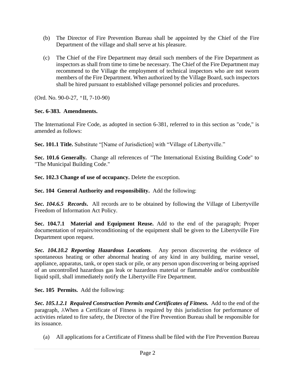- (b) The Director of Fire Prevention Bureau shall be appointed by the Chief of the Fire Department of the village and shall serve at his pleasure.
- (c) The Chief of the Fire Department may detail such members of the Fire Department as inspectors as shall from time to time be necessary. The Chief of the Fire Department may recommend to the Village the employment of technical inspectors who are not sworn members of the Fire Department. When authorized by the Village Board, such inspectors shall be hired pursuant to established village personnel policies and procedures.

(Ord. No. 90-0-27, 'II, 7-10-90)

## **Sec. 6-383. Amendments.**

The International Fire Code, as adopted in section 6-381, referred to in this section as "code," is amended as follows:

**Sec. 101.1 Title.** Substitute "[Name of Jurisdiction] with "Village of Libertyville."

**Sec. 101.6 Generally***.* Change all references of "The International Existing Building Code" to "The Municipal Building Code."

**Sec. 102.3 Change of use of occupancy.** Delete the exception.

**Sec. 104 General Authority and responsibility.** Add the following:

*Sec. 104.6.5 Records***.** All records are to be obtained by following the Village of Libertyville Freedom of Information Act Policy.

**Sec. 104.7.1 Material and Equipment Reuse.** Add to the end of the paragraph; Proper documentation of repairs/reconditioning of the equipment shall be given to the Libertyville Fire Department upon request.

*Sec. 104.10.2 Reporting Hazardous Locations.* Any person discovering the evidence of spontaneous heating or other abnormal heating of any kind in any building, marine vessel, appliance, apparatus, tank, or open stack or pile, or any person upon discovering or being apprised of an uncontrolled hazardous gas leak or hazardous material or flammable and/or combustible liquid spill, shall immediately notify the Libertyville Fire Department.

**Sec. 105 Permits.** Add the following:

*Sec. 105.1.2.1 Required Construction Permits and Certificates of Fitness.* Add to the end of the paragraph, AWhen a Certificate of Fitness is required by this jurisdiction for performance of activities related to fire safety, the Director of the Fire Prevention Bureau shall be responsible for its issuance.

(a) All applications for a Certificate of Fitness shall be filed with the Fire Prevention Bureau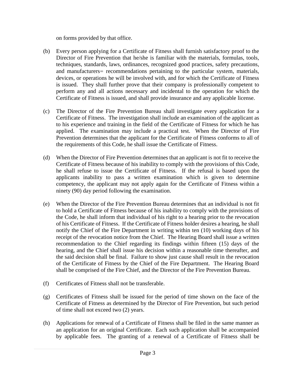on forms provided by that office.

- (b) Every person applying for a Certificate of Fitness shall furnish satisfactory proof to the Director of Fire Prevention that he/she is familiar with the materials, formulas, tools, techniques, standards, laws, ordinances, recognized good practices, safety precautions, and manufacturers= recommendations pertaining to the particular system, materials, devices, or operations he will be involved with, and for which the Certificate of Fitness is issued. They shall further prove that their company is professionally competent to perform any and all actions necessary and incidental to the operation for which the Certificate of Fitness is issued, and shall provide insurance and any applicable license.
- (c) The Director of the Fire Prevention Bureau shall investigate every application for a Certificate of Fitness. The investigation shall include an examination of the applicant as to his experience and training in the field of the Certificate of Fitness for which he has applied. The examination may include a practical test. When the Director of Fire Prevention determines that the applicant for the Certificate of Fitness conforms to all of the requirements of this Code, he shall issue the Certificate of Fitness.
- (d) When the Director of Fire Prevention determines that an applicant is not fit to receive the Certificate of Fitness because of his inability to comply with the provisions of this Code, he shall refuse to issue the Certificate of Fitness. If the refusal is based upon the applicants inability to pass a written examination which is given to determine competency, the applicant may not apply again for the Certificate of Fitness within a ninety (90) day period following the examination.
- (e) When the Director of the Fire Prevention Bureau determines that an individual is not fit to hold a Certificate of Fitness because of his inability to comply with the provisions of the Code, he shall inform that individual of his right to a hearing prior to the revocation of his Certificate of Fitness. If the Certificate of Fitness holder desires a hearing, he shall notify the Chief of the Fire Department in writing within ten (10) working days of his receipt of the revocation notice from the Chief. The Hearing Board shall issue a written recommendation to the Chief regarding its findings within fifteen (15) days of the hearing, and the Chief shall issue his decision within a reasonable time thereafter, and the said decision shall be final. Failure to show just cause shall result in the revocation of the Certificate of Fitness by the Chief of the Fire Department. The Hearing Board shall be comprised of the Fire Chief, and the Director of the Fire Prevention Bureau.
- (f) Certificates of Fitness shall not be transferable.
- (g) Certificates of Fitness shall be issued for the period of time shown on the face of the Certificate of Fitness as determined by the Director of Fire Prevention, but such period of time shall not exceed two (2) years.
- (h) Applications for renewal of a Certificate of Fitness shall be filed in the same manner as an application for an original Certificate. Each such application shall be accompanied by applicable fees. The granting of a renewal of a Certificate of Fitness shall be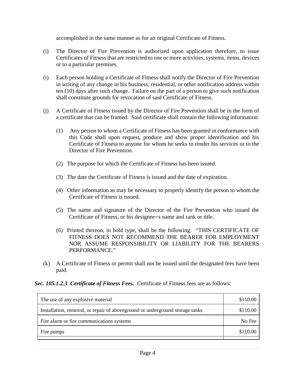accomplished in the same manner as for an original Certificate of Fitness.

- (i) The Director of Fire Prevention is authorized upon application therefore, to issue Certificates of Fitness that are restricted to one or more activities, systems, items, devices or to a particular premises.
- (i) Each person holding a Certificate of Fitness shall notify the Director of Fire Prevention in writing of any change in his business, residential, or other notification address within ten (10) days after such change. Failure on the part of a person to give such notification shall constitute grounds for revocation of said Certificate of Fitness.
- (j) A Certificate of Fitness issued by the Director of Fire Prevention shall be in the form of a certificate that can be framed. Said certificate shall contain the following information:
	- (1) Any person to whom a Certificate of Fitness has been granted in conformance with this Code shall upon request, produce and show proper identification and his Certificate of Fitness to anyone for whom he seeks to render his services or to the Director of Fire Prevention.
	- (2) The purpose for which the Certificate of Fitness has been issued.
	- (3) The date the Certificate of Fitness is issued and the date of expiration.
	- (4) Other information as may be necessary to properly identify the person to whom the Certificate of Fitness is issued.
	- (5) The name and signature of the Director of the Fire Prevention who issued the Certificate of Fitness, or his designee=s name and rank or title.
	- (6) Printed thereon, in bold type, shall be the following: "THIS CERTIFICATE OF FITNESS DOES NOT RECOMMEND THE BEARER FOR EMPLOYMENT NOR ASSUME RESPONSIBILITY OR LIABILITY FOR THE BEARERS PERFORMANCE."
- (k) A Certificate of Fitness or permit shall not be issued until the designated fees have been paid.

*Sec. 105.1.2.3 Certificate of Fitness Fees.* Certificate of Fitness fees are as follows:

| The use of any explosive material                                             | \$110.00 |
|-------------------------------------------------------------------------------|----------|
| Installation, removal, or repair of above ground or underground storage tanks | \$110.00 |
| Fire alarm or fire communications systems                                     | No Fee   |
| Fire pumps                                                                    | \$110.00 |
|                                                                               |          |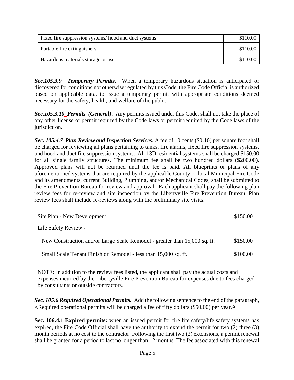| Fixed fire suppression systems/hood and duct systems | \$110.00 |
|------------------------------------------------------|----------|
| Portable fire extinguishers                          | \$110.00 |
| Hazardous materials storage or use                   | \$110.00 |

*Sec.105.3.9 Temporary Permits.* When a temporary hazardous situation is anticipated or discovered for conditions not otherwise regulated by this Code, the Fire Code Official is authorized based on applicable data, to issue a temporary permit with appropriate conditions deemed necessary for the safety, health, and welfare of the public.

*Sec.105.3.10 Permits (General)***.** Any permits issued under this Code, shall not take the place of any other license or permit required by the Code laws or permit required by the Code laws of the jurisdiction.

*Sec. 105.4.7 Plan Review and Inspection Services***.** A fee of 10 cents (\$0.10) per square foot shall be charged for reviewing all plans pertaining to tanks, fire alarms, fixed fire suppression systems, and hood and duct fire suppression systems. All 13D residential systems shall be charged \$150.00 for all single family structures. The minimum fee shall be two hundred dollars (\$200.00). Approved plans will not be returned until the fee is paid. All blueprints or plans of any aforementioned systems that are required by the applicable County or local Municipal Fire Code and its amendments, current Building, Plumbing, and/or Mechanical Codes, shall be submitted to the Fire Prevention Bureau for review and approval. Each applicant shall pay the following plan review fees for re-review and site inspection by the Libertyville Fire Prevention Bureau. Plan review fees shall include re-reviews along with the preliminary site visits.

| Site Plan - New Development                                               |          |
|---------------------------------------------------------------------------|----------|
| Life Safety Review -                                                      |          |
| New Construction and/or Large Scale Remodel - greater than 15,000 sq. ft. | \$150.00 |
| Small Scale Tenant Finish or Remodel - less than 15,000 sq. ft.           | \$100.00 |

NOTE: In addition to the review fees listed, the applicant shall pay the actual costs and expenses incurred by the Libertyville Fire Prevention Bureau for expenses due to fees charged by consultants or outside contractors.

*Sec. 105.6 Required Operational Permits.* Add the following sentence to the end of the paragraph, ARequired operational permits will be charged a fee of fifty dollars (\$50.00) per year.@

**Sec. 106.4.1 Expired permits:** when an issued permit for fire life safety/life safety systems has expired, the Fire Code Official shall have the authority to extend the permit for two (2) three (3) month periods at no cost to the contractor. Following the first two (2) extensions, a permit renewal shall be granted for a period to last no longer than 12 months. The fee associated with this renewal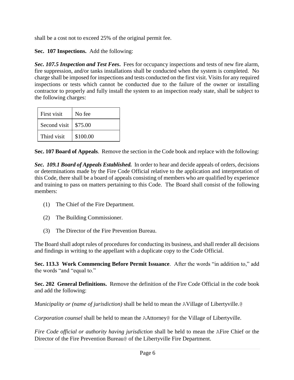shall be a cost not to exceed 25% of the original permit fee.

**Sec. 107 Inspections.** Add the following:

*Sec. 107.5 Inspection and Test Fees***.** Fees for occupancy inspections and tests of new fire alarm, fire suppression, and/or tanks installations shall be conducted when the system is completed. No charge shall be imposed for inspections and tests conducted on the first visit. Visits for any required inspections or tests which cannot be conducted due to the failure of the owner or installing contractor to properly and fully install the system to an inspection ready state, shall be subject to the following charges:

| First visit  | No fee   |
|--------------|----------|
| Second visit | \$75.00  |
| Third visit  | \$100.00 |

**Sec. 107 Board of Appeals**. Remove the section in the Code book and replace with the following:

*Sec. 109.1 Board of Appeals Established.* In order to hear and decide appeals of orders, decisions or determinations made by the Fire Code Official relative to the application and interpretation of this Code, there shall be a board of appeals consisting of members who are qualified by experience and training to pass on matters pertaining to this Code. The Board shall consist of the following members:

- (1) The Chief of the Fire Department.
- (2) The Building Commissioner.
- (3) The Director of the Fire Prevention Bureau.

The Board shall adopt rules of procedures for conducting its business, and shall render all decisions and findings in writing to the appellant with a duplicate copy to the Code Official.

**Sec. 113.3 Work Commencing Before Permit Issuance**. After the words "in addition to," add the words "and "equal to."

**Sec. 202 General Definitions.** Remove the definition of the Fire Code Official in the code book and add the following:

*Municipality or (name of jurisdiction)* shall be held to mean the AVillage of Libertyville.@

*Corporation counsel* shall be held to mean the AAttorney@ for the Village of Libertyville.

*Fire Code official or authority having jurisdiction* shall be held to mean the AFire Chief or the Director of the Fire Prevention Bureau@ of the Libertyville Fire Department.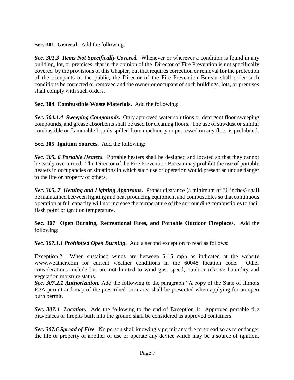**Sec. 301 General.** Add the following:

*Sec. 301.3 Items Not Specifically Covered.* Whenever or wherever a condition is found in any building, lot, or premises, that in the opinion of the Director of Fire Prevention is not specifically covered by the provisions of this Chapter, but that requires correction or removal for the protection of the occupants or the public, the Director of the Fire Prevention Bureau shall order such conditions be corrected or removed and the owner or occupant of such buildings, lots, or premises shall comply with such orders.

## **Sec. 304 Combustible Waste Materials**. Add the following:

*Sec. 304.1.4 Sweeping Compounds.* Only approved water solutions or detergent floor sweeping compounds, and grease absorbents shall be used for cleaning floors. The use of sawdust or similar combustible or flammable liquids spilled from machinery or processed on any floor is prohibited.

**Sec. 305 Ignition Sources.** Add the following:

*Sec. 305. 6 Portable Heaters.* Portable heaters shall be designed and located so that they cannot be easily overturned. The Director of the Fire Prevention Bureau may prohibit the use of portable heaters in occupancies or situations in which such use or operation would present an undue danger to the life or property of others.

*Sec. 305. 7 Heating and Lighting Apparatus***.** Proper clearance (a minimum of 36 inches) shall be maintained between lighting and heat producing equipment and combustibles so that continuous operation at full capacity will not increase the temperature of the surrounding combustibles to their flash point or ignition temperature.

**Sec. 307 Open Burning, Recreational Fires, and Portable Outdoor Fireplaces.** Add the following:

*Sec. 307.1.1 Prohibited Open Burning***.** Add a second exception to read as follows:

Exception 2. When sustained winds are between 5-15 mph as indicated at the website [www.weather.com](http://www.weather.com/) for current weather conditions in the 60048 location code. Other considerations include but are not limited to wind gust speed, outdoor relative humidity and vegetation moisture status.

*Sec. 307.2.1 Authorization.* Add the following to the paragraph "A copy of the State of Illinois EPA permit and map of the prescribed burn area shall be presented when applying for an open burn permit.

*Sec. 307.4 Location.* Add the following to the end of Exception 1: Approved portable fire pits/places or firepits built into the ground shall be considered as approved containers.

*Sec. 307.6 Spread of Fire.* No person shall knowingly permit any fire to spread so as to endanger the life or property of another or use or operate any device which may be a source of ignition,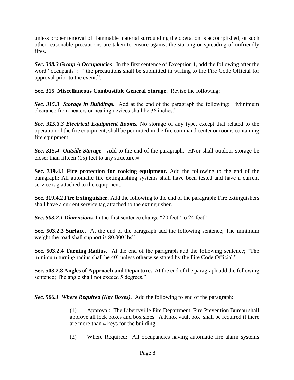unless proper removal of flammable material surrounding the operation is accomplished, or such other reasonable precautions are taken to ensure against the starting or spreading of unfriendly fires.

*Sec. 308.3 Group A Occupancies*. In the first sentence of Exception 1, add the following after the word "occupants": " the precautions shall be submitted in writing to the Fire Code Official for approval prior to the event.".

**Sec. 315 Miscellaneous Combustible General Storage.** Revise the following:

*Sec. 315.3 Storage in Buildings.* Add at the end of the paragraph the following: "Minimum clearance from heaters or heating devices shall be 36 inches."

*Sec. 315.3.3 Electrical Equipment Rooms.* No storage of any type, except that related to the operation of the fire equipment, shall be permitted in the fire command center or rooms containing fire equipment.

*Sec. 315.4 Outside Storage.* Add to the end of the paragraph: ANor shall outdoor storage be closer than fifteen (15) feet to any structure.@

**Sec. 319.4.1 Fire protection for cooking equipment.** Add the following to the end of the paragraph: All automatic fire extinguishing systems shall have been tested and have a current service tag attached to the equipment.

**Sec. 319.4.2 Fire Extinguisher.** Add the following to the end of the paragraph: Fire extinguishers shall have a current service tag attached to the extinguisher.

*Sec. 503.2.1 Dimensions.* In the first sentence change "20 feet" to 24 feet"

**Sec. 503.2.3 Surface.** At the end of the paragraph add the following sentence; The minimum weight the road shall support is 80,000 lbs"

**Sec. 503.2.4 Turning Radius.** At the end of the paragraph add the following sentence; "The minimum turning radius shall be 40' unless otherwise stated by the Fire Code Official."

**Sec. 503.2.8 Angles of Approach and Departure.** At the end of the paragraph add the following sentence; The angle shall not exceed 5 degrees."

*Sec. 506.1 Where Required (Key Boxes).* Add the following to end of the paragraph:

(1) Approval: The Libertyville Fire Department, Fire Prevention Bureau shall approve all lock boxes and box sizes. A Knox vault box shall be required if there are more than 4 keys for the building.

(2) Where Required: All occupancies having automatic fire alarm systems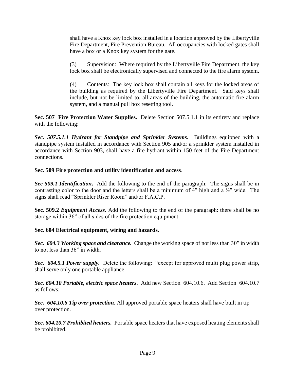shall have a Knox key lock box installed in a location approved by the Libertyville Fire Department, Fire Prevention Bureau. All occupancies with locked gates shall have a box or a Knox key system for the gate.

(3) Supervision: Where required by the Libertyville Fire Department, the key lock box shall be electronically supervised and connected to the fire alarm system.

(4) Contents: The key lock box shall contain all keys for the locked areas of the building as required by the Libertyville Fire Department. Said keys shall include, but not be limited to, all areas of the building, the automatic fire alarm system, and a manual pull box resetting tool.

**Sec. 507 Fire Protection Water Supplies.** Delete Section 507.5.1.1 in its entirety and replace with the following:

*Sec. 507.5.1.1 Hydrant for Standpipe and Sprinkler Systems***.** Buildings equipped with a standpipe system installed in accordance with Section 905 and/or a sprinkler system installed in accordance with Section 903, shall have a fire hydrant within 150 feet of the Fire Department connections.

## **Sec. 509 Fire protection and utility identification and access**.

*Sec 509.1 Identification***.** Add the following to the end of the paragraph: The signs shall be in contrasting color to the door and the letters shall be a minimum of 4" high and a ½" wide. The signs shall read "Sprinkler Riser Room" and/or F.A.C.P.

**Sec. 509.2** *Equipment Access.* Add the following to the end of the paragraph: there shall be no storage within 36" of all sides of the fire protection equipment.

## **Sec. 604 Electrical equipment, wiring and hazards.**

*Sec. 604.3 Working space and clearance.* Change the working space of not less than 30" in width to not less than 36" in width.

*Sec. 604.5.1 Power supply.* Delete the following: "except for approved multi plug power strip, shall serve only one portable appliance.

*Sec. 604.10 Portable, electric space heaters*. Add new Section 604.10.6. Add Section 604.10.7 as follows:

*Sec. 604.10.6 Tip over protection*. All approved portable space heaters shall have built in tip over protection.

*Sec. 604.10.7 Prohibited heaters.* Portable space heaters that have exposed heating elements shall be prohibited.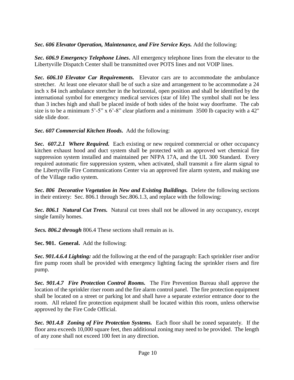*Sec. 606 Elevator Operation, Maintenance, and Fire Service Keys.* Add the following:

*Sec. 606.9 Emergency Telephone Lines***.** All emergency telephone lines from the elevator to the Libertyville Dispatch Center shall be transmitted over POTS lines and not VOIP lines.

*Sec. 606.10 Elevator Car Requirements.* Elevator cars are to accommodate the ambulance stretcher. At least one elevator shall be of such a size and arrangement to be accommodate a 24 inch x 84 inch ambulance stretcher in the horizontal, open position and shall be identified by the international symbol for emergency medical services (star of life) The symbol shall not be less than 3 inches high and shall be placed inside of both sides of the hoist way doorframe. The cab size is to be a minimum  $5'$ -5" x  $6'$ -8" clear platform and a minimum 3500 lb capacity with a 42" side slide door.

## *Sec. 607 Commercial Kitchen Hoods.* Add the following:

*Sec. 607.2.1 Where Required.* Each existing or new required commercial or other occupancy kitchen exhaust hood and duct system shall be protected with an approved wet chemical fire suppression system installed and maintained per NFPA 17A, and the UL 300 Standard. Every required automatic fire suppression system, when activated, shall transmit a fire alarm signal to the Libertyville Fire Communications Center via an approved fire alarm system, and making use of the Village radio system.

*Sec. 806 Decorative Vegetation in New and Existing Buildings.* Delete the following sections in their entirety: Sec. 806.1 through Sec.806.1.3, and replace with the following:

*Sec. 806.1 Natural Cut Trees.* Natural cut trees shall not be allowed in any occupancy, except single family homes.

*Secs. 806.2 through* 806.4 These sections shall remain as is.

**Sec. 901. General.** Add the following:

*Sec. 901.4.6.4 Lighting:* add the following at the end of the paragraph: Each sprinkler riser and/or fire pump room shall be provided with emergency lighting facing the sprinkler risers and fire pump.

*Sec. 901.4.7 Fire Protection Control Rooms.* The Fire Prevention Bureau shall approve the location of the sprinkler riser room and the fire alarm control panel. The fire protection equipment shall be located on a street or parking lot and shall have a separate exterior entrance door to the room. All related fire protection equipment shall be located within this room, unless otherwise approved by the Fire Code Official.

*Sec. 901.4.8 Zoning of Fire Protection Systems.* Each floor shall be zoned separately. If the floor area exceeds 10,000 square feet, then additional zoning may need to be provided. The length of any zone shall not exceed 100 feet in any direction.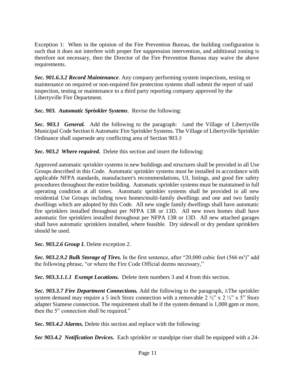Exception 1: When in the opinion of the Fire Prevention Bureau, the building configuration is such that it does not interfere with proper fire suppression intervention, and additional zoning is therefore not necessary, then the Director of the Fire Prevention Bureau may waive the above requirements.

*Sec. 901.6.3.2 Record Maintenance*. Any company performing system inspections, testing or maintenance on required or non-required fire protection systems shall submit the report of said inspection, testing or maintenance to a third party reporting company approved by the Libertyville Fire Department.

*Sec. 903. Automatic Sprinkler Systems*. Revise the following:

*Sec. 903.1 General.* Add the following to the paragraph: Aand the Village of Libertyville Municipal Code Section 6 Automatic Fire Sprinkler Systems. The Village of Libertyville Sprinkler Ordinance shall supersede any conflicting area of Section 903.@

*Sec. 903.2 Where required.* Delete this section and insert the following:

Approved automatic sprinkler systems in new buildings and structures shall be provided in all Use Groups described in this Code. Automatic sprinkler systems must be installed in accordance with applicable NFPA standards, manufacturer's recommendations, UL listings, and good fire safety procedures throughout the entire building. Automatic sprinkler systems must be maintained in full operating condition at all times. Automatic sprinkler systems shall be provided in all new residential Use Groups including town homes/multi-family dwellings and one and two family dwellings which are adopted by this Code. All new single family dwellings shall have automatic fire sprinklers installed throughout per NFPA 13R or 13D. All new town homes shall have automatic fire sprinklers installed throughout per NFPA 13R or 13D. All new attached garages shall have automatic sprinklers installed, where feasible. Dry sidewall or dry pendant sprinklers should be used.

*Sec. 903.2.6 Group I.* Delete exception 2.

**Sec. 903.2.9.2 Bulk Storage of Tires.** In the first sentence, after "20,000 cubic feet (566 m<sup>3</sup>)" add the following phrase, "or where the Fire Code Official deems necessary,"

*Sec. 903.3.1.1.1 Exempt Locations.* Delete item numbers 3 and 4 from this section.

*Sec. 903.3.7 Fire Department Connections.* Add the following to the paragraph, AThe sprinkler system demand may require a 5 inch Storz connection with a removable 2  $\frac{1}{2}$  x 2  $\frac{1}{2}$  x 5" Storz adapter Siamese connection. The requirement shall be if the system demand is 1,000 gpm or more, then the 5" connection shall be required."

*Sec. 903.4.2 Alarms.* Delete this section and replace with the following:

*Sec 903.4.2 Notification Devices.* Each sprinkler or standpipe riser shall be equipped with a 24-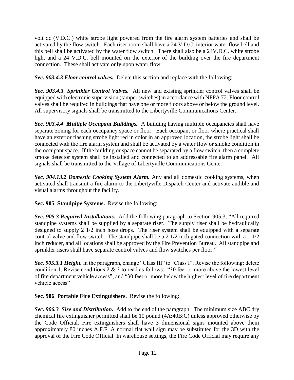volt dc (V.D.C.) white strobe light powered from the fire alarm system batteries and shall be activated by the flow switch. Each riser room shall have a 24 V.D.C. interior water flow bell and this bell shall be activated by the water flow switch. There shall also be a 24V.D.C. white strobe light and a 24 V.D.C. bell mounted on the exterior of the building over the fire department connection. These shall activate only upon water flow

*Sec. 903.4.3 Floor control valves.* Delete this section and replace with the following:

*Sec. 903.4.3 Sprinkler Control Valves.* All new and existing sprinkler control valves shall be equipped with electronic supervision (tamper switches) in accordance with NFPA 72. Floor control valves shall be required in buildings that have one or more floors above or below the ground level. All supervisory signals shall be transmitted to the Libertyville Communications Center.

*Sec. 903.4.4 Multiple Occupant Buildings.* A building having multiple occupancies shall have separate zoning for each occupancy space or floor. Each occupant or floor where practical shall have an exterior flashing strobe light red in color in an approved location, the strobe light shall be connected with the fire alarm system and shall be activated by a water flow or smoke condition in the occupant space. If the building or space cannot be separated by a flow switch, then a complete smoke detector system shall be installed and connected to an addressable fire alarm panel. All signals shall be transmitted to the Village of Libertyville Communications Center.

*Sec. 904.13.2 Domestic Cooking System Alarm.* Any and all domestic cooking systems, when activated shall transmit a fire alarm to the Libertyville Dispatch Center and activate audible and visual alarms throughout the facility.

**Sec. 905 Standpipe Systems.** Revise the following:

*Sec. 905.3 Required Installations.* Add the following paragraph to Section 905.3, "All required standpipe systems shall be supplied by a separate riser. The supply riser shall be hydraulically designed to supply 2 1/2 inch hose drops. The riser system shall be equipped with a separate control valve and flow switch. The standpipe shall be a 2 1/2 inch gated connection with a 1 1/2 inch reducer, and all locations shall be approved by the Fire Prevention Bureau. All standpipe and sprinkler risers shall have separate control valves and flow switches per floor."

*Sec.* 905.3.1 Height. In the paragraph, change "Class III" to "Class I"; Revise the following: delete condition 1. Revise conditions  $2 \& 3$  to read as follows: "30 feet or more above the lowest level of fire department vehicle access"; and "30 feet or more below the highest level of fire department vehicle access"

**Sec. 906 Portable Fire Extinguishers.** Revise the following:

*Sec. 906.3 Size and Distribution.* Add to the end of the paragraph. The minimum size ABC dry chemical fire extinguisher permitted shall be 10 pound (4A:40B:C) unless approved otherwise by the Code Official. Fire extinguishers shall have 3 dimensional signs mounted above them approximately 80 inches A.F.F. A normal flat wall sign may be substituted for the 3D with the approval of the Fire Code Official. In warehouse settings, the Fire Code Official may require any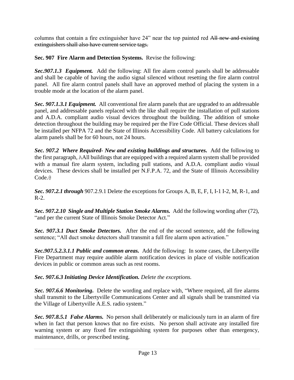columns that contain a fire extinguisher have 24" near the top painted red All new and existing extinguishers shall also have current service tags.

**Sec. 907 Fire Alarm and Detection Systems.** Revise the following:

*Sec.907.1.3 Equipment.* Add the following: All fire alarm control panels shall be addressable and shall be capable of having the audio signal silenced without resetting the fire alarm control panel. All fire alarm control panels shall have an approved method of placing the system in a trouble mode at the location of the alarm panel.

*Sec. 907.1.3.1 Equipment.* All conventional fire alarm panels that are upgraded to an addressable panel, and addressable panels replaced with the like shall require the installation of pull stations and A.D.A. compliant audio visual devices throughout the building. The addition of smoke detection throughout the building may be required per the Fire Code Official. These devices shall be installed per NFPA 72 and the State of Illinois Accessibility Code. All battery calculations for alarm panels shall be for 60 hours, not 24 hours.

*Sec. 907.2 Where Required- New and existing buildings and structures.* Add the following to the first paragraph, AAll buildings that are equipped with a required alarm system shall be provided with a manual fire alarm system, including pull stations, and A.D.A. compliant audio visual devices. These devices shall be installed per N.F.P.A. 72, and the State of Illinois Accessibility Code.<sup>@</sup>

*Sec. 907.2.1 through* 907.2.9.1 Delete the exceptions for Groups A, B, E, F, I, I-1 I-2, M, R-1, and R-2.

*Sec. 907.2.10 Single and Multiple Station Smoke Alarms.* Add the following wording after (72), "and per the current State of Illinois Smoke Detector Act."

*Sec. 907.3.1 Duct Smoke Detectors.* After the end of the second sentence, add the following sentence; "All duct smoke detectors shall transmit a full fire alarm upon activation."

*Sec.907.5.2.3.1.1 Public and common areas.* Add the following: In some cases, the Libertyville Fire Department may require audible alarm notification devices in place of visible notification devices in public or common areas such as rest rooms.

*Sec. 907.6.3 Initiating Device Identification. Delete the exceptions.*

*Sec. 907.6.6 Monitoring***.** Delete the wording and replace with, "Where required, all fire alarms shall transmit to the Libertyville Communications Center and all signals shall be transmitted via the Village of Libertyville A.E.S. radio system."

*Sec. 907.8.5.1 False Alarms.* No person shall deliberately or maliciously turn in an alarm of fire when in fact that person knows that no fire exists. No person shall activate any installed fire warning system or any fixed fire extinguishing system for purposes other than emergency, maintenance, drills, or prescribed testing.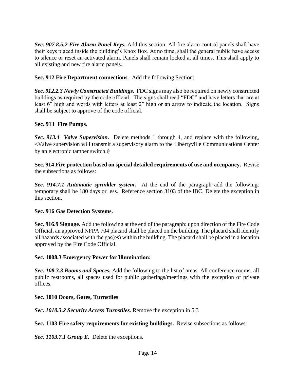*Sec. 907.8.5.2 Fire Alarm Panel Keys.* Add this section. All fire alarm control panels shall have their keys placed inside the building's Knox Box. At no time, shall the general public have access to silence or reset an activated alarm. Panels shall remain locked at all times. This shall apply to all existing and new fire alarm panels.

## **Sec. 912 Fire Department connections***.* Add the following Section:

*Sec. 912.2.3 Newly Constructed Buildings.* FDC signs may also be required on newly constructed buildings as required by the code official. The signs shall read "FDC" and have letters that are at least 6" high and words with letters at least 2" high or an arrow to indicate the location. Signs shall be subject to approve of the code official.

## **Sec. 913 Fire Pumps.**

*Sec. 913.4 Valve Supervision.* Delete methods 1 through 4, and replace with the following, AValve supervision will transmit a supervisory alarm to the Libertyville Communications Center by an electronic tamper switch.@

**Sec. 914 Fire protection based on special detailed requirements of use and occupancy.** Revise the subsections as follows:

*Sec. 914.7.1 Automatic sprinkler system***.** At the end of the paragraph add the following: temporary shall be 180 days or less. Reference section 3103 of the IBC. Delete the exception in this section.

## **Sec. 916 Gas Detection Systems.**

**Sec. 916.9 Signage.** Add the following at the end of the paragraph: upon direction of the Fire Code Official, an approved NFPA 704 placard shall be placed on the building. The placard shall identify all hazards associated with the gas(es) within the building. The placard shall be placed in a location approved by the Fire Code Official.

## **Sec. 1008.3 Emergency Power for Illumination:**

*Sec. 108.3.3 Rooms and Spaces.* Add the following to the list of areas. All conference rooms, all public restrooms, all spaces used for public gatherings/meetings with the exception of private offices.

## **Sec. 1010 Doors, Gates, Turnstiles**

*Sec. 1010.3.2 Security Access Turnstiles.* Remove the exception in 5.3

## **Sec. 1103 Fire safety requirements for existing buildings.** Revise subsections as follows:

*Sec. 1103.7.1 Group E.* Delete the exceptions.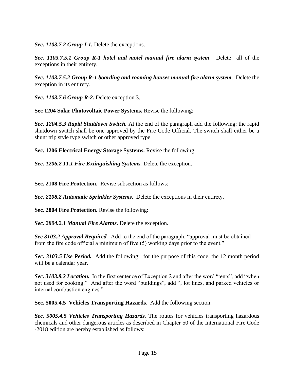*Sec. 1103.7.2 Group I-1.* Delete the exceptions.

*Sec. 1103.7.5.1 Group R-1 hotel and motel manual fire alarm system.* Delete all of the exceptions in their entirety.

*Sec. 1103.7.5.2 Group R-1 boarding and rooming houses manual fire alarm system*. Delete the exception in its entirety.

*Sec. 1103.7.6 Group R-2.* Delete exception 3.

**Sec 1204 Solar Photovoltaic Power Systems.** Revise the following:

*Sec. 1204.5.3 Rapid Shutdown Switch.* At the end of the paragraph add the following: the rapid shutdown switch shall be one approved by the Fire Code Official. The switch shall either be a shunt trip style type switch or other approved type.

**Sec. 1206 Electrical Energy Storage Systems.** Revise the following:

*Sec. 1206.2.11.1 Fire Extinguishing Systems.* Delete the exception.

**Sec. 2108 Fire Protection.** Revise subsection as follows:

*Sec. 2108.2 Automatic Sprinkler Systems***.** Delete the exceptions in their entirety.

**Sec. 2804 Fire Protection.** Revise the following:

*Sec. 2804.2.1 Manual Fire Alarms.* Delete the exception.

*Sec 3103.2 Approval Required.* Add to the end of the paragraph: "approval must be obtained from the fire code official a minimum of five (5) working days prior to the event."

*Sec. 3103.5 Use Period.* Add the following: for the purpose of this code, the 12 month period will be a calendar year.

*Sec. 3103.8.2 Location.* In the first sentence of Exception 2 and after the word "tents", add "when not used for cooking." And after the word "buildings", add ", lot lines, and parked vehicles or internal combustion engines."

**Sec. 5005.4.5 Vehicles Transporting Hazards**. Add the following section:

*Sec. 5005.4.5 Vehicles Transporting Hazards.* The routes for vehicles transporting hazardous chemicals and other dangerous articles as described in Chapter 50 of the International Fire Code -2018 edition are hereby established as follows: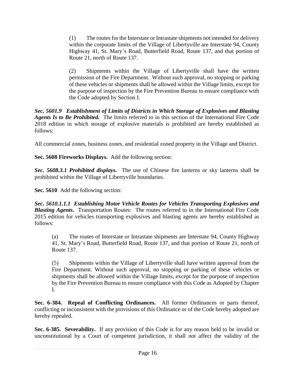(1) The routes for the Interstate or Intrastate shipments not intended for delivery within the corporate limits of the Village of Libertyville are Interstate 94, County Highway 41, St. Mary's Road, Butterfield Road, Route 137, and that portion of Route 21, north of Route 137.

(2) Shipments within the Village of Libertyville shall have the written permission of the Fire Department. Without such approval, no stopping or parking of these vehicles or shipments shall be allowed within the Village limits, except for the purpose of inspection by the Fire Prevention Bureau to ensure compliance with the Code adopted by Section I.

*Sec. 5601.9 Establishment of Limits of Districts in Which Storage of Explosives and Blasting Agents Is to Be Prohibited.* The limits referred to in this section of the International Fire Code 2018 edition in which storage of explosive materials is prohibited are hereby established as follows:

All commercial zones, business zones, and residential zoned property in the Village and District.

**Sec. 5608 Fireworks Displays.** Add the following section:

*Sec. 5608.3.1 Prohibited displays.* The use of Chinese fire lanterns or sky lanterns shall be prohibited within the Village of Libertyville boundaries.

**Sec. 5610** Add the following section:

*Sec. 5610.1.1.1 Establishing Motor Vehicle Routes for Vehicles Transporting Explosives and Blasting Agents***.** Transportation Routes: The routes referred to in the International Fire Code 2015 edition for vehicles transporting explosives and blasting agents are hereby established as follows:

(a) The routes of Interstate or Intrastate shipments are Interstate 94, County Highway 41, St. Mary's Road, Butterfield Road, Route 137, and that portion of Route 21, north of Route 137.

(5) Shipments within the Village of Libertyville shall have written approval from the Fire Department. Without such approval, no stopping or parking of these vehicles or shipments shall be allowed within the Village limits, except for the purpose of inspection by the Fire Prevention Bureau to ensure compliance with this Code as Adopted by Chapter I.

**Sec. 6-384. Repeal of Conflicting Ordinances.** All former Ordinances or parts thereof, conflicting or inconsistent with the provisions of this Ordinance or of the Code hereby adopted are hereby repealed.

**Sec. 6-385. Severability.** If any provision of this Code is for any reason held to be invalid or unconstitutional by a Court of competent jurisdiction, it shall not affect the validity of the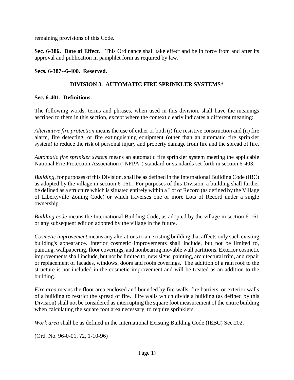remaining provisions of this Code.

**Sec. 6-386. Date of Effect**. This Ordinance shall take effect and be in force from and after its approval and publication in pamphlet form as required by law.

## **Secs. 6-387--6-400. Reserved.**

## **DIVISION 3. AUTOMATIC FIRE SPRINKLER SYSTEMS\***

## **Sec. 6-401. Definitions.**

The following words, terms and phrases, when used in this division, shall have the meanings ascribed to them in this section, except where the context clearly indicates a different meaning:

*Alternative fire protection* means the use of either or both (i) fire resistive construction and (ii) fire alarm, fire detecting, or fire extinguishing equipment (other than an automatic fire sprinkler system) to reduce the risk of personal injury and property damage from fire and the spread of fire.

*Automatic fire sprinkler system* means an automatic fire sprinkler system meeting the applicable National Fire Protection Association ("NFPA") standard or standards set forth in section 6-403.

*Building,* for purposes of this Division, shall be as defined in the International Building Code (IBC) as adopted by the village in section 6-161. For purposes of this Division, a building shall further be defined as a structure which is situated entirely within a Lot of Record (as defined by the Village of Libertyville Zoning Code) or which traverses one or more Lots of Record under a single ownership.

*Building code* means the International Building Code, as adopted by the village in section 6-161 or any subsequent edition adopted by the village in the future.

*Cosmetic improvement* means any alterations to an existing building that affects only such existing building's appearance. Interior cosmetic improvements shall include, but not be limited to, painting, wallpapering, floor coverings, and nonbearing movable wall partitions. Exterior cosmetic improvements shall include, but not be limited to, new signs, painting, architectural trim, and repair or replacement of facades, windows, doors and roofs coverings. The addition of a rain roof to the structure is not included in the cosmetic improvement and will be treated as an addition to the building.

*Fire area* means the floor area enclosed and bounded by fire walls, fire barriers, or exterior walls of a building to restrict the spread of fire. Fire walls which divide a building (as defined by this Division) shall not be considered as interrupting the square foot measurement of the entire building when calculating the square foot area necessary to require sprinklers.

*Work area* shall be as defined in the International Existing Building Code (IEBC) Sec.202.

(Ord. No. 96-0-01, ?2, 1-10-96)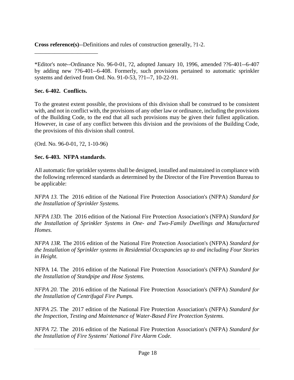**Cross reference(s)**--Definitions and rules of construction generally, ?1-2.

\*Editor's note--Ordinance No. 96-0-01, ?2, adopted January 10, 1996, amended ??6-401--6-407 by adding new ??6-401--6-408. Formerly, such provisions pertained to automatic sprinkler systems and derived from Ord. No. 91-0-53, ??1--7, 10-22-91.

## **Sec. 6-402. Conflicts.**

\_\_\_\_\_\_\_\_\_\_\_\_\_\_\_\_\_\_\_\_\_\_

To the greatest extent possible, the provisions of this division shall be construed to be consistent with, and not in conflict with, the provisions of any other law or ordinance, including the provisions of the Building Code, to the end that all such provisions may be given their fullest application. However, in case of any conflict between this division and the provisions of the Building Code, the provisions of this division shall control.

(Ord. No. 96-0-01, ?2, 1-10-96)

## **Sec. 6-403. NFPA standards**.

All automatic fire sprinkler systems shall be designed, installed and maintained in compliance with the following referenced standards as determined by the Director of the Fire Prevention Bureau to be applicable:

*NFPA 13.* The 2016 edition of the National Fire Protection Association's (NFPA) *Standard for the Installation of Sprinkler Systems.*

*NFPA 13D.* The 2016 edition of the National Fire Protection Association's (NFPA) *Standard for the Installation of Sprinkler Systems in One- and Two-Family Dwellings and Manufactured Homes.*

*NFPA 13R.* The 2016 edition of the National Fire Protection Association's (NFPA) *Standard for the Installation of Sprinkler systems in Residential Occupancies up to and including Four Stories in Height.*

NFPA 14. The 2016 edition of the National Fire Protection Association's (NFPA) *Standard for the Installation of Standpipe and Hose Systems.*

*NFPA 20.* The 2016 edition of the National Fire Protection Association's (NFPA) *Standard for the Installation of Centrifugal Fire Pumps.*

*NFPA 25.* The 2017 edition of the National Fire Protection Association's (NFPA) *Standard for the Inspection, Testing and Maintenance of Water-Based Fire Protection Systems.*

*NFPA 72.* The 2016 edition of the National Fire Protection Association's (NFPA) *Standard for the Installation of Fire Systems' National Fire Alarm Code.*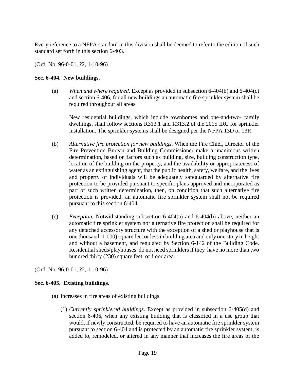Every reference to a NFPA standard in this division shall be deemed to refer to the edition of such standard set forth in this section 6-403.

(Ord. No. 96-0-01, ?2, 1-10-96)

## **Sec. 6-404. New buildings.**

(a) *When and where required.* Except as provided in subsection 6-404(b) and 6-404(c) and section 6-406, for all new buildings an automatic fire sprinkler system shall be required throughout all areas

New residential buildings, which include townhomes and one-and-two- family dwellings, shall follow sections R313.1 and R313.2 of the 2015 IRC for sprinkler installation. The sprinkler systems shall be designed per the NFPA 13D or 13R.

- (b) *Alternative fire protection for new buildings.* When the Fire Chief, Director of the Fire Prevention Bureau and Building Commissioner make a unanimous written determination, based on factors such as building, size, building construction type, location of the building on the property, and the availability or appropriateness of water as an extinguishing agent, that the public health, safety, welfare, and the lives and property of individuals will be adequately safeguarded by alternative fire protection to be provided pursuant to specific plans approved and incorporated as part of such written determination, then, on condition that such alternative fire protection is provided, an automatic fire sprinkler system shall not be required pursuant to this section 6-404.
- (c) *Exception.* Notwithstanding subsection 6-404(a) and 6-404(b) above, neither an automatic fire sprinkler system nor alternative fire protection shall be required for any detached accessory structure with the exception of a shed or playhouse that is one thousand (1,000) square feet or less in building area and only one story in height and without a basement, and regulated by Section 6-142 of the Building Code. Residential sheds/playhouses do not need sprinklers if they have no more than two hundred thirty (230) square feet of floor area.

(Ord. No. 96-0-01, ?2, 1-10-96)

## **Sec. 6-405. Existing buildings.**

- (a) Increases in fire areas of existing buildings.
	- (1) *Currently sprinklered buildings*. Except as provided in subsection 6-405(d) and section 6-406, when any existing building that is classified in a use group that would, if newly constructed, be required to have an automatic fire sprinkler system pursuant to section 6-404 and is protected by an automatic fire sprinkler system, is added to, remodeled, or altered in any manner that increases the fire areas of the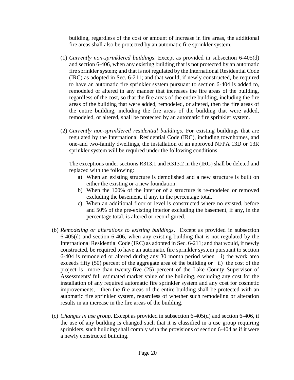building, regardless of the cost or amount of increase in fire areas, the additional fire areas shall also be protected by an automatic fire sprinkler system.

- (1) *Currently non-sprinklered buildings*. Except as provided in subsection 6-405(d) and section 6-406, when any existing building that is not protected by an automatic fire sprinkler system; and that is not regulated by the International Residential Code (IRC) as adopted in Sec. 6-211; and that would, if newly constructed, be required to have an automatic fire sprinkler system pursuant to section 6-404 is added to, remodeled or altered in any manner that increases the fire areas of the building, regardless of the cost, so that the fire areas of the entire building, including the fire areas of the building that were added, remodeled, or altered, then the fire areas of the entire building, including the fire areas of the building that were added, remodeled, or altered, shall be protected by an automatic fire sprinkler system.
- (2) *Currently non-sprinklered residential buildings.* For existing buildings that are regulated by the International Residential Code (IRC), including townhomes, and one-and two-family dwellings, the installation of an approved NFPA 13D or 13R sprinkler system will be required under the following conditions.

The exceptions under sections R313.1 and R313.2 in the (IRC) shall be deleted and replaced with the following:

- a) When an existing structure is demolished and a new structure is built on either the existing or a new foundation.
- b) When the 100% of the interior of a structure is re-modeled or removed excluding the basement, if any, in the percentage total.
- c) When an additional floor or level is constructed where no existed, before and 50% of the pre-existing interior excluding the basement, if any, in the percentage total, is altered or reconfigured.
- (b) *Remodeling or alterations to existing buildings*. Except as provided in subsection 6-405(d) and section 6-406, when any existing building that is not regulated by the International Residential Code (IRC) as adopted in Sec. 6-211; and that would, if newly constructed, be required to have an automatic fire sprinkler system pursuant to section 6-404 is remodeled or altered during any 30 month period when i) the work area exceeds fifty (50) percent of the aggregate area of the building or ii) the cost of the project is more than twenty-five (25) percent of the Lake County Supervisor of Assessments' full estimated market value of the building, excluding any cost for the installation of any required automatic fire sprinkler system and any cost for cosmetic improvements, then the fire areas of the entire building shall be protected with an automatic fire sprinkler system, regardless of whether such remodeling or alteration results in an increase in the fire areas of the building.
- (c) *Changes in use group*. Except as provided in subsection 6-405(d) and section 6-406, if the use of any building is changed such that it is classified in a use group requiring sprinklers, such building shall comply with the provisions of section 6-404 as if it were a newly constructed building.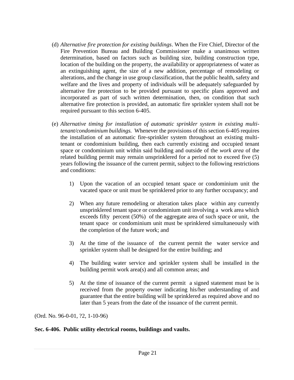- (d) *Alternative fire protection for existing buildings*. When the Fire Chief, Director of the Fire Prevention Bureau and Building Commissioner make a unanimous written determination, based on factors such as building size, building construction type, location of the building on the property, the availability or appropriateness of water as an extinguishing agent, the size of a new addition, percentage of remodeling or alterations, and the change in use group classification, that the public health, safety and welfare and the lives and property of individuals will be adequately safeguarded by alternative fire protection to be provided pursuant to specific plans approved and incorporated as part of such written determination, then, on condition that such alternative fire protection is provided, an automatic fire sprinkler system shall not be required pursuant to this section 6-405.
- (e) *Alternative timing for installation of automatic sprinkler system in existing multitenant/condominium buildings.* Whenever the provisions of this section 6-405 requires the installation of an automatic fire-sprinkler system throughout an existing multitenant or condominium building, then each currently existing and occupied tenant space or condominium unit within said building and outside of the *work area* of the related building permit may remain unsprinklered for a period not to exceed five (5) years following the issuance of the current permit, subject to the following restrictions and conditions:
	- 1) Upon the vacation of an occupied tenant space or condominium unit the vacated space or unit must be sprinklered prior to any further occupancy; and
	- 2) When any future remodeling or alteration takes place within any currently unsprinklered tenant space or condominium unit involving a work area which exceeds fifty percent (50%) of the aggregate area of such space or unit, the tenant space or condominium unit must be sprinklered simultaneously with the completion of the future work; and
	- 3) At the time of the issuance of the current permit the water service and sprinkler system shall be designed for the entire building; and
	- 4) The building water service and sprinkler system shall be installed in the building permit work area(s) and all common areas; and
	- 5) At the time of issuance of the current permit a signed statement must be is received from the property owner indicating his/her understanding of and guarantee that the entire building will be sprinklered as required above and no later than 5 years from the date of the issuance of the current permit.

(Ord. No. 96-0-01, ?2, 1-10-96)

#### **Sec. 6-406. Public utility electrical rooms, buildings and vaults.**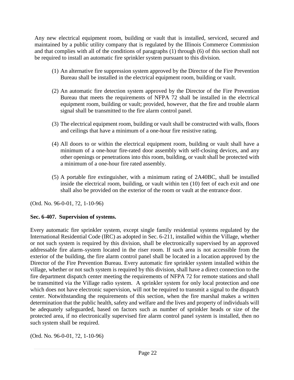Any new electrical equipment room, building or vault that is installed, serviced, secured and maintained by a public utility company that is regulated by the Illinois Commerce Commission and that complies with all of the conditions of paragraphs (1) through (6) of this section shall not be required to install an automatic fire sprinkler system pursuant to this division.

- (1) An alternative fire suppression system approved by the Director of the Fire Prevention Bureau shall be installed in the electrical equipment room, building or vault.
- (2) An automatic fire detection system approved by the Director of the Fire Prevention Bureau that meets the requirements of NFPA 72 shall be installed in the electrical equipment room, building or vault; provided, however, that the fire and trouble alarm signal shall be transmitted to the fire alarm control panel.
- (3) The electrical equipment room, building or vault shall be constructed with walls, floors and ceilings that have a minimum of a one-hour fire resistive rating.
- (4) All doors to or within the electrical equipment room, building or vault shall have a minimum of a one-hour fire-rated door assembly with self-closing devices, and any other openings or penetrations into this room, building, or vault shall be protected with a minimum of a one-hour fire rated assembly.
- (5) A portable fire extinguisher, with a minimum rating of 2A40BC, shall be installed inside the electrical room, building, or vault within ten (10) feet of each exit and one shall also be provided on the exterior of the room or vault at the entrance door.

(Ord. No. 96-0-01, ?2, 1-10-96)

## **Sec. 6-407. Supervision of systems.**

Every automatic fire sprinkler system, except single family residential systems regulated by the International Residential Code (IRC) as adopted in Sec. 6-211, installed within the Village, whether or not such system is required by this division, shall be electronically supervised by an approved addressable fire alarm-system located in the riser room. If such area is not accessible from the exterior of the building, the fire alarm control panel shall be located in a location approved by the Director of the Fire Prevention Bureau. Every automatic fire sprinkler system installed within the village, whether or not such system is required by this division, shall have a direct connection to the fire department dispatch center meeting the requirements of NFPA 72 for remote stations and shall be transmitted via the Village radio system. A sprinkler system for only local protection and one which does not have electronic supervision, will not be required to transmit a signal to the dispatch center. Notwithstanding the requirements of this section, when the fire marshal makes a written determination that the public health, safety and welfare and the lives and property of individuals will be adequately safeguarded, based on factors such as number of sprinkler heads or size of the protected area, if no electronically supervised fire alarm control panel system is installed, then no such system shall be required.

(Ord. No. 96-0-01, ?2, 1-10-96)